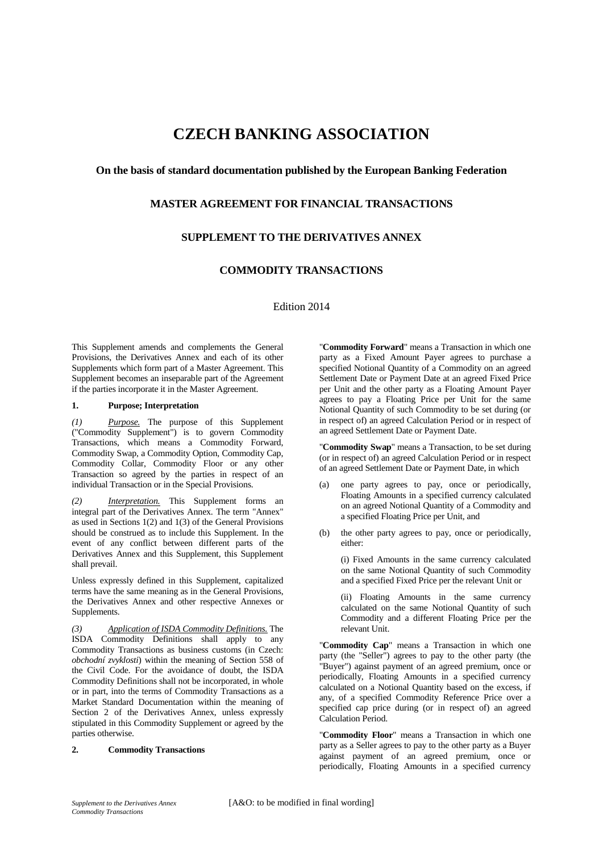# **CZECH BANKING ASSOCIATION**

### **On the basis of standard documentation published by the European Banking Federation**

## **MASTER AGREEMENT FOR FINANCIAL TRANSACTIONS**

## **SUPPLEMENT TO THE DERIVATIVES ANNEX**

## **COMMODITY TRANSACTIONS**

Edition 2014

This Supplement amends and complements the General Provisions, the Derivatives Annex and each of its other Supplements which form part of a Master Agreement. This Supplement becomes an inseparable part of the Agreement if the parties incorporate it in the Master Agreement.

#### **1. Purpose; Interpretation**

*(1) Purpose.* The purpose of this Supplement ("Commodity Supplement") is to govern Commodity Transactions, which means a Commodity Forward, Commodity Swap, a Commodity Option, Commodity Cap, Commodity Collar, Commodity Floor or any other Transaction so agreed by the parties in respect of an individual Transaction or in the Special Provisions.

*(2) Interpretation.* This Supplement forms an integral part of the Derivatives Annex. The term "Annex" as used in Sections 1(2) and 1(3) of the General Provisions should be construed as to include this Supplement. In the event of any conflict between different parts of the Derivatives Annex and this Supplement, this Supplement shall prevail.

Unless expressly defined in this Supplement, capitalized terms have the same meaning as in the General Provisions, the Derivatives Annex and other respective Annexes or Supplements.

*(3) Application of ISDA Commodity Definitions.* The ISDA Commodity Definitions shall apply to any Commodity Transactions as business customs (in Czech: *obchodní zvyklosti*) within the meaning of Section 558 of the Civil Code. For the avoidance of doubt, the ISDA Commodity Definitions shall not be incorporated, in whole or in part, into the terms of Commodity Transactions as a Market Standard Documentation within the meaning of Section 2 of the Derivatives Annex, unless expressly stipulated in this Commodity Supplement or agreed by the parties otherwise.

#### **2. Commodity Transactions**

"**Commodity Forward**" means a Transaction in which one party as a Fixed Amount Payer agrees to purchase a specified Notional Quantity of a Commodity on an agreed Settlement Date or Payment Date at an agreed Fixed Price per Unit and the other party as a Floating Amount Payer agrees to pay a Floating Price per Unit for the same Notional Quantity of such Commodity to be set during (or in respect of) an agreed Calculation Period or in respect of an agreed Settlement Date or Payment Date.

"**Commodity Swap**" means a Transaction, to be set during (or in respect of) an agreed Calculation Period or in respect of an agreed Settlement Date or Payment Date, in which

- (a) one party agrees to pay, once or periodically, Floating Amounts in a specified currency calculated on an agreed Notional Quantity of a Commodity and a specified Floating Price per Unit, and
- (b) the other party agrees to pay, once or periodically, either:

(i) Fixed Amounts in the same currency calculated on the same Notional Quantity of such Commodity and a specified Fixed Price per the relevant Unit or

(ii) Floating Amounts in the same currency calculated on the same Notional Quantity of such Commodity and a different Floating Price per the relevant Unit.

"**Commodity Cap**" means a Transaction in which one party (the "Seller") agrees to pay to the other party (the "Buyer") against payment of an agreed premium, once or periodically, Floating Amounts in a specified currency calculated on a Notional Quantity based on the excess, if any, of a specified Commodity Reference Price over a specified cap price during (or in respect of) an agreed Calculation Period.

"**Commodity Floor**" means a Transaction in which one party as a Seller agrees to pay to the other party as a Buyer against payment of an agreed premium, once or periodically, Floating Amounts in a specified currency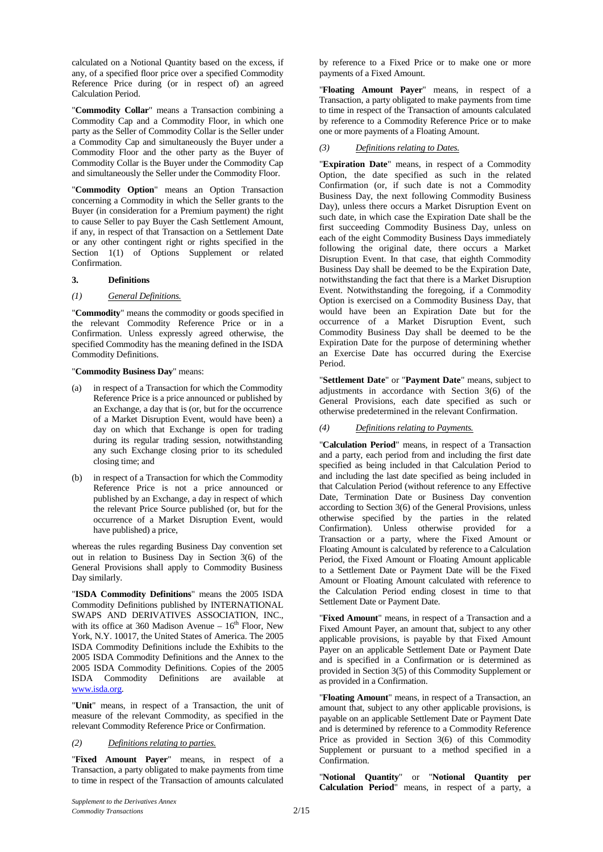calculated on a Notional Quantity based on the excess, if any, of a specified floor price over a specified Commodity Reference Price during (or in respect of) an agreed Calculation Period.

"**Commodity Collar**" means a Transaction combining a Commodity Cap and a Commodity Floor, in which one party as the Seller of Commodity Collar is the Seller under a Commodity Cap and simultaneously the Buyer under a Commodity Floor and the other party as the Buyer of Commodity Collar is the Buyer under the Commodity Cap and simultaneously the Seller under the Commodity Floor.

"**Commodity Option**" means an Option Transaction concerning a Commodity in which the Seller grants to the Buyer (in consideration for a Premium payment) the right to cause Seller to pay Buyer the Cash Settlement Amount, if any, in respect of that Transaction on a Settlement Date or any other contingent right or rights specified in the Section 1(1) of Options Supplement or related Confirmation.

#### **3. Definitions**

#### *(1) General Definitions.*

"**Commodity**" means the commodity or goods specified in the relevant Commodity Reference Price or in a Confirmation. Unless expressly agreed otherwise, the specified Commodity has the meaning defined in the ISDA Commodity Definitions.

"**Commodity Business Day**" means:

- (a) in respect of a Transaction for which the Commodity Reference Price is a price announced or published by an Exchange, a day that is (or, but for the occurrence of a Market Disruption Event, would have been) a day on which that Exchange is open for trading during its regular trading session, notwithstanding any such Exchange closing prior to its scheduled closing time; and
- (b) in respect of a Transaction for which the Commodity Reference Price is not a price announced or published by an Exchange, a day in respect of which the relevant Price Source published (or, but for the occurrence of a Market Disruption Event, would have published) a price,

whereas the rules regarding Business Day convention set out in relation to Business Day in Section 3(6) of the General Provisions shall apply to Commodity Business Day similarly.

"**ISDA Commodity Definitions**" means the 2005 ISDA Commodity Definitions published by INTERNATIONAL SWAPS AND DERIVATIVES ASSOCIATION, INC., with its office at 360 Madison Avenue  $-16^{th}$  Floor, New York, N.Y. 10017, the United States of America. The 2005 ISDA Commodity Definitions include the Exhibits to the 2005 ISDA Commodity Definitions and the Annex to the 2005 ISDA Commodity Definitions. Copies of the 2005 ISDA Commodity Definitions are available at [www.isda.org.](http://www.isda.org/)

"**Unit**" means, in respect of a Transaction, the unit of measure of the relevant Commodity, as specified in the relevant Commodity Reference Price or Confirmation.

#### *(2) Definitions relating to parties.*

"**Fixed Amount Payer**" means, in respect of a Transaction, a party obligated to make payments from time to time in respect of the Transaction of amounts calculated

by reference to a Fixed Price or to make one or more payments of a Fixed Amount.

"**Floating Amount Payer**" means, in respect of a Transaction, a party obligated to make payments from time to time in respect of the Transaction of amounts calculated by reference to a Commodity Reference Price or to make one or more payments of a Floating Amount.

#### *(3) Definitions relating to Dates.*

"**Expiration Date**" means, in respect of a Commodity Option, the date specified as such in the related Confirmation (or, if such date is not a Commodity Business Day, the next following Commodity Business Day), unless there occurs a Market Disruption Event on such date, in which case the Expiration Date shall be the first succeeding Commodity Business Day, unless on each of the eight Commodity Business Days immediately following the original date, there occurs a Market Disruption Event. In that case, that eighth Commodity Business Day shall be deemed to be the Expiration Date, notwithstanding the fact that there is a Market Disruption Event. Notwithstanding the foregoing, if a Commodity Option is exercised on a Commodity Business Day, that would have been an Expiration Date but for the occurrence of a Market Disruption Event, such Commodity Business Day shall be deemed to be the Expiration Date for the purpose of determining whether an Exercise Date has occurred during the Exercise Period.

"**Settlement Date**" or "**Payment Date**" means, subject to adjustments in accordance with Section 3(6) of the General Provisions, each date specified as such or otherwise predetermined in the relevant Confirmation.

#### *(4) Definitions relating to Payments.*

"**Calculation Period**" means, in respect of a Transaction and a party, each period from and including the first date specified as being included in that Calculation Period to and including the last date specified as being included in that Calculation Period (without reference to any Effective Date, Termination Date or Business Day convention according to Section 3(6) of the General Provisions, unless otherwise specified by the parties in the related Confirmation). Unless otherwise provided for a Transaction or a party, where the Fixed Amount or Floating Amount is calculated by reference to a Calculation Period, the Fixed Amount or Floating Amount applicable to a Settlement Date or Payment Date will be the Fixed Amount or Floating Amount calculated with reference to the Calculation Period ending closest in time to that Settlement Date or Payment Date.

"**Fixed Amount**" means, in respect of a Transaction and a Fixed Amount Payer, an amount that, subject to any other applicable provisions, is payable by that Fixed Amount Payer on an applicable Settlement Date or Payment Date and is specified in a Confirmation or is determined as provided in Section 3(5) of this Commodity Supplement or as provided in a Confirmation.

"**Floating Amount**" means, in respect of a Transaction, an amount that, subject to any other applicable provisions, is payable on an applicable Settlement Date or Payment Date and is determined by reference to a Commodity Reference Price as provided in Section 3(6) of this Commodity Supplement or pursuant to a method specified in a Confirmation.

"**Notional Quantity**" or "**Notional Quantity per Calculation Period**" means, in respect of a party, a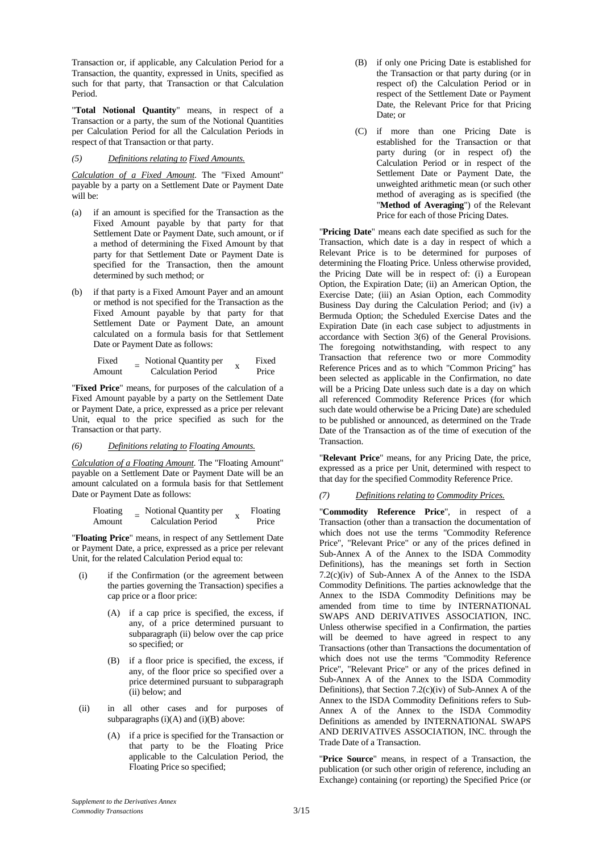Transaction or, if applicable, any Calculation Period for a Transaction, the quantity, expressed in Units, specified as such for that party, that Transaction or that Calculation Period.

"**Total Notional Quantity**" means, in respect of a Transaction or a party, the sum of the Notional Quantities per Calculation Period for all the Calculation Periods in respect of that Transaction or that party.

#### *(5) Definitions relating to Fixed Amounts.*

*Calculation of a Fixed Amount*. The "Fixed Amount" payable by a party on a Settlement Date or Payment Date will be:

- (a) if an amount is specified for the Transaction as the Fixed Amount payable by that party for that Settlement Date or Payment Date, such amount, or if a method of determining the Fixed Amount by that party for that Settlement Date or Payment Date is specified for the Transaction, then the amount determined by such method; or
- (b) if that party is a Fixed Amount Payer and an amount or method is not specified for the Transaction as the Fixed Amount payable by that party for that Settlement Date or Payment Date, an amount calculated on a formula basis for that Settlement Date or Payment Date as follows:

$$
Fixed\nAmount = Notional Quantity per\nCalculation Period x Frice
$$

"**Fixed Price**" means, for purposes of the calculation of a Fixed Amount payable by a party on the Settlement Date or Payment Date, a price, expressed as a price per relevant Unit, equal to the price specified as such for the Transaction or that party.

#### *(6) Definitions relating to Floating Amounts.*

*Calculation of a Floating Amount*. The "Floating Amount" payable on a Settlement Date or Payment Date will be an amount calculated on a formula basis for that Settlement Date or Payment Date as follows:

Floating Amount <sup>=</sup> Notional Quantity per Calculation Period <sup>x</sup> Floating Price

"**Floating Price**" means, in respect of any Settlement Date or Payment Date, a price, expressed as a price per relevant Unit, for the related Calculation Period equal to:

- (i) if the Confirmation (or the agreement between the parties governing the Transaction) specifies a cap price or a floor price:
	- (A) if a cap price is specified, the excess, if any, of a price determined pursuant to subparagraph (ii) below over the cap price so specified; or
	- (B) if a floor price is specified, the excess, if any, of the floor price so specified over a price determined pursuant to subparagraph (ii) below; and
- (ii) in all other cases and for purposes of subparagraphs  $(i)(A)$  and  $(i)(B)$  above:
	- (A) if a price is specified for the Transaction or that party to be the Floating Price applicable to the Calculation Period, the Floating Price so specified;
- (B) if only one Pricing Date is established for the Transaction or that party during (or in respect of) the Calculation Period or in respect of the Settlement Date or Payment Date, the Relevant Price for that Pricing Date; or
- (C) if more than one Pricing Date is established for the Transaction or that party during (or in respect of) the Calculation Period or in respect of the Settlement Date or Payment Date, the unweighted arithmetic mean (or such other method of averaging as is specified (the "**Method of Averaging**") of the Relevant Price for each of those Pricing Dates.

"**Pricing Date**" means each date specified as such for the Transaction, which date is a day in respect of which a Relevant Price is to be determined for purposes of determining the Floating Price. Unless otherwise provided, the Pricing Date will be in respect of: (i) a European Option, the Expiration Date; (ii) an American Option, the Exercise Date; (iii) an Asian Option, each Commodity Business Day during the Calculation Period; and (iv) a Bermuda Option; the Scheduled Exercise Dates and the Expiration Date (in each case subject to adjustments in accordance with Section 3(6) of the General Provisions. The foregoing notwithstanding, with respect to any Transaction that reference two or more Commodity Reference Prices and as to which "Common Pricing" has been selected as applicable in the Confirmation, no date will be a Pricing Date unless such date is a day on which all referenced Commodity Reference Prices (for which such date would otherwise be a Pricing Date) are scheduled to be published or announced, as determined on the Trade Date of the Transaction as of the time of execution of the **Transaction** 

"**Relevant Price**" means, for any Pricing Date, the price, expressed as a price per Unit, determined with respect to that day for the specified Commodity Reference Price.

#### *(7) Definitions relating to Commodity Prices.*

"**Commodity Reference Price**", in respect of a Transaction (other than a transaction the documentation of which does not use the terms "Commodity Reference Price", "Relevant Price" or any of the prices defined in Sub-Annex A of the Annex to the ISDA Commodity Definitions), has the meanings set forth in Section  $7.2(c)(iv)$  of Sub-Annex A of the Annex to the ISDA Commodity Definitions. The parties acknowledge that the Annex to the ISDA Commodity Definitions may be amended from time to time by INTERNATIONAL SWAPS AND DERIVATIVES ASSOCIATION, INC. Unless otherwise specified in a Confirmation, the parties will be deemed to have agreed in respect to any Transactions (other than Transactions the documentation of which does not use the terms "Commodity Reference Price", "Relevant Price" or any of the prices defined in Sub-Annex A of the Annex to the ISDA Commodity Definitions), that Section 7.2(c)(iv) of Sub-Annex A of the Annex to the ISDA Commodity Definitions refers to Sub-Annex A of the Annex to the ISDA Commodity Definitions as amended by INTERNATIONAL SWAPS AND DERIVATIVES ASSOCIATION, INC. through the Trade Date of a Transaction.

"**Price Source**" means, in respect of a Transaction, the publication (or such other origin of reference, including an Exchange) containing (or reporting) the Specified Price (or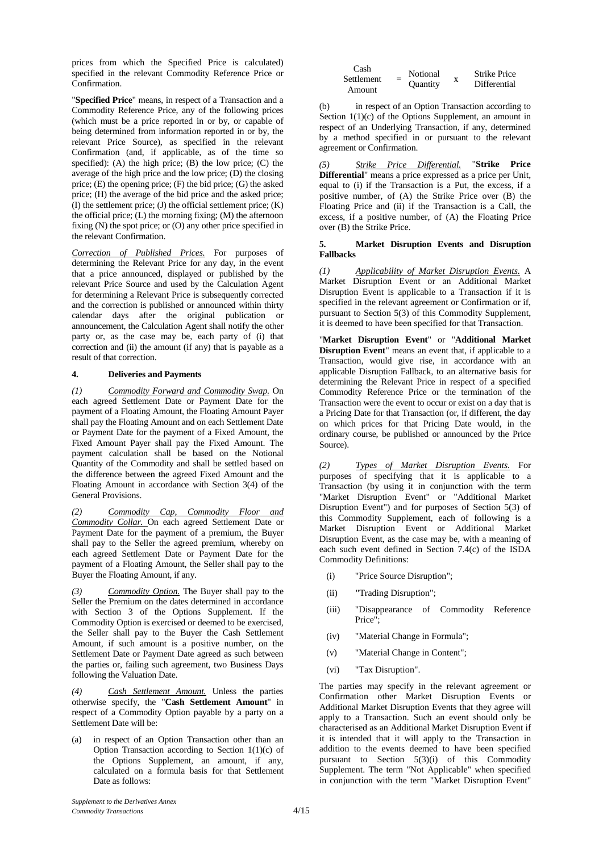prices from which the Specified Price is calculated) specified in the relevant Commodity Reference Price or Confirmation.

"**Specified Price**" means, in respect of a Transaction and a Commodity Reference Price, any of the following prices (which must be a price reported in or by, or capable of being determined from information reported in or by, the relevant Price Source), as specified in the relevant Confirmation (and, if applicable, as of the time so specified): (A) the high price; (B) the low price; (C) the average of the high price and the low price; (D) the closing price; (E) the opening price; (F) the bid price; (G) the asked price; (H) the average of the bid price and the asked price;  $(I)$  the settlement price;  $(I)$  the official settlement price;  $(K)$ the official price; (L) the morning fixing; (M) the afternoon fixing (N) the spot price; or (O) any other price specified in the relevant Confirmation.

*Correction of Published Prices.* For purposes of determining the Relevant Price for any day, in the event that a price announced, displayed or published by the relevant Price Source and used by the Calculation Agent for determining a Relevant Price is subsequently corrected and the correction is published or announced within thirty calendar days after the original publication or announcement, the Calculation Agent shall notify the other party or, as the case may be, each party of (i) that correction and (ii) the amount (if any) that is payable as a result of that correction.

#### **4. Deliveries and Payments**

*(1) Commodity Forward and Commodity Swap.* On each agreed Settlement Date or Payment Date for the payment of a Floating Amount, the Floating Amount Payer shall pay the Floating Amount and on each Settlement Date or Payment Date for the payment of a Fixed Amount, the Fixed Amount Payer shall pay the Fixed Amount. The payment calculation shall be based on the Notional Quantity of the Commodity and shall be settled based on the difference between the agreed Fixed Amount and the Floating Amount in accordance with Section 3(4) of the General Provisions.

*(2) Commodity Cap, Commodity Floor and Commodity Collar.* On each agreed Settlement Date or Payment Date for the payment of a premium, the Buyer shall pay to the Seller the agreed premium, whereby on each agreed Settlement Date or Payment Date for the payment of a Floating Amount, the Seller shall pay to the Buyer the Floating Amount, if any.

*(3) Commodity Option.* The Buyer shall pay to the Seller the Premium on the dates determined in accordance with Section 3 of the Options Supplement. If the Commodity Option is exercised or deemed to be exercised, the Seller shall pay to the Buyer the Cash Settlement Amount, if such amount is a positive number, on the Settlement Date or Payment Date agreed as such between the parties or, failing such agreement, two Business Days following the Valuation Date.

*(4) Cash Settlement Amount.* Unless the parties otherwise specify, the "**Cash Settlement Amount**" in respect of a Commodity Option payable by a party on a Settlement Date will be:

(a) in respect of an Option Transaction other than an Option Transaction according to Section  $1(1)(c)$  of the Options Supplement, an amount, if any, calculated on a formula basis for that Settlement Date as follows:

| Cash<br>Settlement<br>Amount | $=$ | Notional<br><b>Ouantity</b> | x | <b>Strike Price</b><br>Differential |
|------------------------------|-----|-----------------------------|---|-------------------------------------|
|                              |     |                             |   |                                     |

(b) in respect of an Option Transaction according to Section  $1(1)(c)$  of the Options Supplement, an amount in respect of an Underlying Transaction, if any, determined by a method specified in or pursuant to the relevant agreement or Confirmation.

*(5) Strike Price Differential.* "**Strike Price Differential**" means a price expressed as a price per Unit, equal to (i) if the Transaction is a Put, the excess, if a positive number, of (A) the Strike Price over (B) the Floating Price and (ii) if the Transaction is a Call, the excess, if a positive number, of (A) the Floating Price over (B) the Strike Price.

#### **5. Market Disruption Events and Disruption Fallbacks**

*(1) Applicability of Market Disruption Events.* A Market Disruption Event or an Additional Market Disruption Event is applicable to a Transaction if it is specified in the relevant agreement or Confirmation or if, pursuant to Section 5(3) of this Commodity Supplement, it is deemed to have been specified for that Transaction.

"**Market Disruption Event**" or "**Additional Market Disruption Event**" means an event that, if applicable to a Transaction, would give rise, in accordance with an applicable Disruption Fallback, to an alternative basis for determining the Relevant Price in respect of a specified Commodity Reference Price or the termination of the Transaction were the event to occur or exist on a day that is a Pricing Date for that Transaction (or, if different, the day on which prices for that Pricing Date would, in the ordinary course, be published or announced by the Price Source).

*(2) Types of Market Disruption Events.* For purposes of specifying that it is applicable to a Transaction (by using it in conjunction with the term "Market Disruption Event" or "Additional Market Disruption Event") and for purposes of Section 5(3) of this Commodity Supplement, each of following is a Market Disruption Event or Additional Market Disruption Event, as the case may be, with a meaning of each such event defined in Section 7.4(c) of the ISDA Commodity Definitions:

- (i) "Price Source Disruption";
- (ii) "Trading Disruption";
- (iii) "Disappearance of Commodity Reference Price";
- (iv) "Material Change in Formula";
- (v) "Material Change in Content";
- (vi) "Tax Disruption".

The parties may specify in the relevant agreement or Confirmation other Market Disruption Events or Additional Market Disruption Events that they agree will apply to a Transaction. Such an event should only be characterised as an Additional Market Disruption Event if it is intended that it will apply to the Transaction in addition to the events deemed to have been specified pursuant to Section 5(3)(i) of this Commodity Supplement. The term "Not Applicable" when specified in conjunction with the term "Market Disruption Event"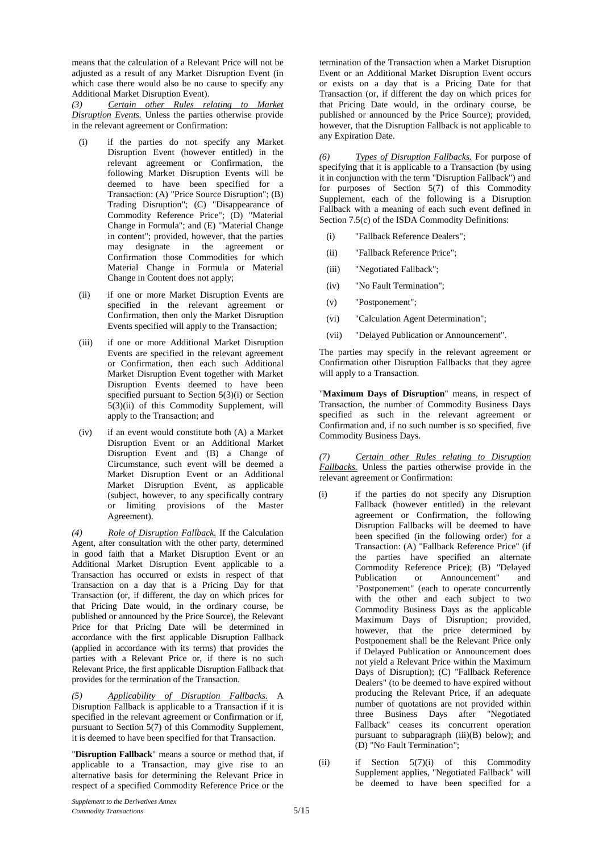means that the calculation of a Relevant Price will not be adjusted as a result of any Market Disruption Event (in which case there would also be no cause to specify any Additional Market Disruption Event).

*(3) Certain other Rules relating to Market Disruption Events.* Unless the parties otherwise provide in the relevant agreement or Confirmation:

- (i) if the parties do not specify any Market Disruption Event (however entitled) in the relevant agreement or Confirmation, the following Market Disruption Events will be deemed to have been specified for a Transaction: (A) "Price Source Disruption"; (B) Trading Disruption"; (C) "Disappearance of Commodity Reference Price"; (D) "Material Change in Formula"; and (E) "Material Change in content"; provided, however, that the parties may designate in the agreement or Confirmation those Commodities for which Material Change in Formula or Material Change in Content does not apply;
- (ii) if one or more Market Disruption Events are specified in the relevant agreement or Confirmation, then only the Market Disruption Events specified will apply to the Transaction;
- (iii) if one or more Additional Market Disruption Events are specified in the relevant agreement or Confirmation, then each such Additional Market Disruption Event together with Market Disruption Events deemed to have been specified pursuant to Section 5(3)(i) or Section 5(3)(ii) of this Commodity Supplement, will apply to the Transaction; and
- (iv) if an event would constitute both (A) a Market Disruption Event or an Additional Market Disruption Event and (B) a Change of Circumstance, such event will be deemed a Market Disruption Event or an Additional Market Disruption Event, as applicable (subject, however, to any specifically contrary or limiting provisions of the Master Agreement).

*(4) Role of Disruption Fallback.* If the Calculation Agent, after consultation with the other party, determined in good faith that a Market Disruption Event or an Additional Market Disruption Event applicable to a Transaction has occurred or exists in respect of that Transaction on a day that is a Pricing Day for that Transaction (or, if different, the day on which prices for that Pricing Date would, in the ordinary course, be published or announced by the Price Source), the Relevant Price for that Pricing Date will be determined in accordance with the first applicable Disruption Fallback (applied in accordance with its terms) that provides the parties with a Relevant Price or, if there is no such Relevant Price, the first applicable Disruption Fallback that provides for the termination of the Transaction.

*(5) Applicability of Disruption Fallbacks.* A Disruption Fallback is applicable to a Transaction if it is specified in the relevant agreement or Confirmation or if, pursuant to Section 5(7) of this Commodity Supplement, it is deemed to have been specified for that Transaction.

"**Disruption Fallback**" means a source or method that, if applicable to a Transaction, may give rise to an alternative basis for determining the Relevant Price in respect of a specified Commodity Reference Price or the

termination of the Transaction when a Market Disruption Event or an Additional Market Disruption Event occurs or exists on a day that is a Pricing Date for that Transaction (or, if different the day on which prices for that Pricing Date would, in the ordinary course, be published or announced by the Price Source); provided, however, that the Disruption Fallback is not applicable to any Expiration Date.

*(6) Types of Disruption Fallbacks.* For purpose of specifying that it is applicable to a Transaction (by using it in conjunction with the term "Disruption Fallback") and for purposes of Section 5(7) of this Commodity Supplement, each of the following is a Disruption Fallback with a meaning of each such event defined in Section 7.5(c) of the ISDA Commodity Definitions:

- (i) "Fallback Reference Dealers";
- (ii) "Fallback Reference Price";
- (iii) "Negotiated Fallback";
- (iv) "No Fault Termination";
- (v) "Postponement";
- (vi) "Calculation Agent Determination";
- (vii) "Delayed Publication or Announcement".

The parties may specify in the relevant agreement or Confirmation other Disruption Fallbacks that they agree will apply to a Transaction.

"**Maximum Days of Disruption**" means, in respect of Transaction, the number of Commodity Business Days specified as such in the relevant agreement or Confirmation and, if no such number is so specified, five Commodity Business Days.

*(7) Certain other Rules relating to Disruption Fallbacks.* Unless the parties otherwise provide in the relevant agreement or Confirmation:

- (i) if the parties do not specify any Disruption Fallback (however entitled) in the relevant agreement or Confirmation, the following Disruption Fallbacks will be deemed to have been specified (in the following order) for a Transaction: (A) "Fallback Reference Price" (if the parties have specified an alternate Commodity Reference Price); (B) "Delayed Publication or Announcement" and "Postponement" (each to operate concurrently with the other and each subject to two Commodity Business Days as the applicable Maximum Days of Disruption; provided, however, that the price determined by Postponement shall be the Relevant Price only if Delayed Publication or Announcement does not yield a Relevant Price within the Maximum Days of Disruption); (C) "Fallback Reference Dealers" (to be deemed to have expired without producing the Relevant Price, if an adequate number of quotations are not provided within three Business Days after "Negotiated Fallback" ceases its concurrent operation pursuant to subparagraph (iii)(B) below); and (D) "No Fault Termination";
- (ii) if Section 5(7)(i) of this Commodity Supplement applies, "Negotiated Fallback" will be deemed to have been specified for a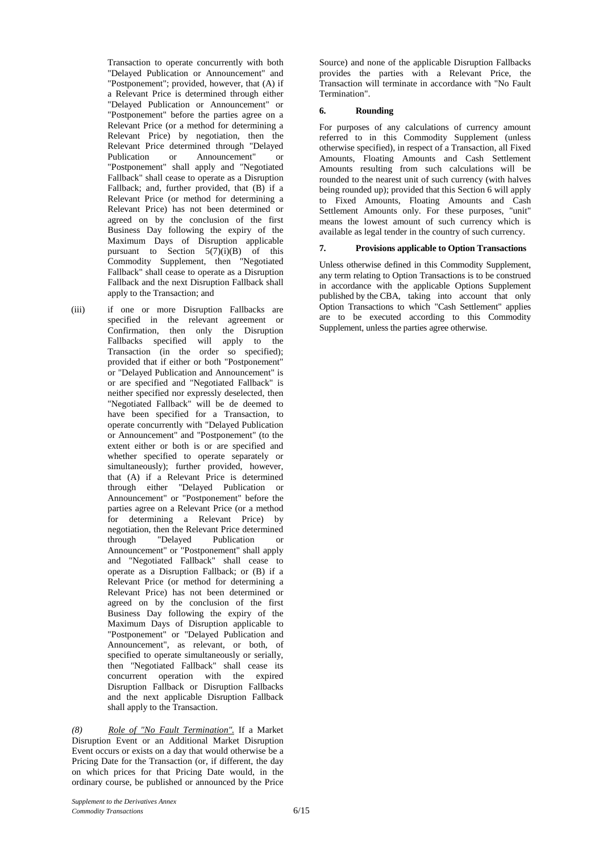Transaction to operate concurrently with both "Delayed Publication or Announcement" and "Postponement"; provided, however, that (A) if a Relevant Price is determined through either "Delayed Publication or Announcement" or "Postponement" before the parties agree on a Relevant Price (or a method for determining a Relevant Price) by negotiation, then the Relevant Price determined through "Delayed<br>Publication or Announcement" or Announcement" or "Postponement" shall apply and "Negotiated Fallback" shall cease to operate as a Disruption Fallback; and, further provided, that (B) if a Relevant Price (or method for determining a Relevant Price) has not been determined or agreed on by the conclusion of the first Business Day following the expiry of the Maximum Days of Disruption applicable pursuant to Section  $5(7)(i)(B)$  of this Commodity Supplement, then "Negotiated Fallback" shall cease to operate as a Disruption Fallback and the next Disruption Fallback shall apply to the Transaction; and

(iii) if one or more Disruption Fallbacks are specified in the relevant agreement or Confirmation, then only the Disruption Fallbacks specified will apply to the Transaction (in the order so specified); provided that if either or both "Postponement" or "Delayed Publication and Announcement" is or are specified and "Negotiated Fallback" is neither specified nor expressly deselected, then "Negotiated Fallback" will be de deemed to have been specified for a Transaction, to operate concurrently with "Delayed Publication or Announcement" and "Postponement" (to the extent either or both is or are specified and whether specified to operate separately or simultaneously); further provided, however, that (A) if a Relevant Price is determined through either "Delayed Publication or Announcement" or "Postponement" before the parties agree on a Relevant Price (or a method for determining a Relevant Price) by negotiation, then the Relevant Price determined<br>through "Delayed Publication or Publication Announcement" or "Postponement" shall apply and "Negotiated Fallback" shall cease to operate as a Disruption Fallback; or (B) if a Relevant Price (or method for determining a Relevant Price) has not been determined or agreed on by the conclusion of the first Business Day following the expiry of the Maximum Days of Disruption applicable to "Postponement" or "Delayed Publication and Announcement", as relevant, or both, of specified to operate simultaneously or serially, then "Negotiated Fallback" shall cease its concurrent operation with the expired Disruption Fallback or Disruption Fallbacks and the next applicable Disruption Fallback shall apply to the Transaction.

*(8) Role of "No Fault Termination".* If a Market Disruption Event or an Additional Market Disruption Event occurs or exists on a day that would otherwise be a Pricing Date for the Transaction (or, if different, the day on which prices for that Pricing Date would, in the ordinary course, be published or announced by the Price

Source) and none of the applicable Disruption Fallbacks provides the parties with a Relevant Price, the Transaction will terminate in accordance with "No Fault Termination".

#### **6. Rounding**

For purposes of any calculations of currency amount referred to in this Commodity Supplement (unless otherwise specified), in respect of a Transaction, all Fixed Amounts, Floating Amounts and Cash Settlement Amounts resulting from such calculations will be rounded to the nearest unit of such currency (with halves being rounded up); provided that this Section 6 will apply to Fixed Amounts, Floating Amounts and Cash Settlement Amounts only. For these purposes, "unit" means the lowest amount of such currency which is available as legal tender in the country of such currency.

#### **7. Provisions applicable to Option Transactions**

Unless otherwise defined in this Commodity Supplement, any term relating to Option Transactions is to be construed in accordance with the applicable Options Supplement published by the CBA, taking into account that only Option Transactions to which "Cash Settlement" applies are to be executed according to this Commodity Supplement, unless the parties agree otherwise.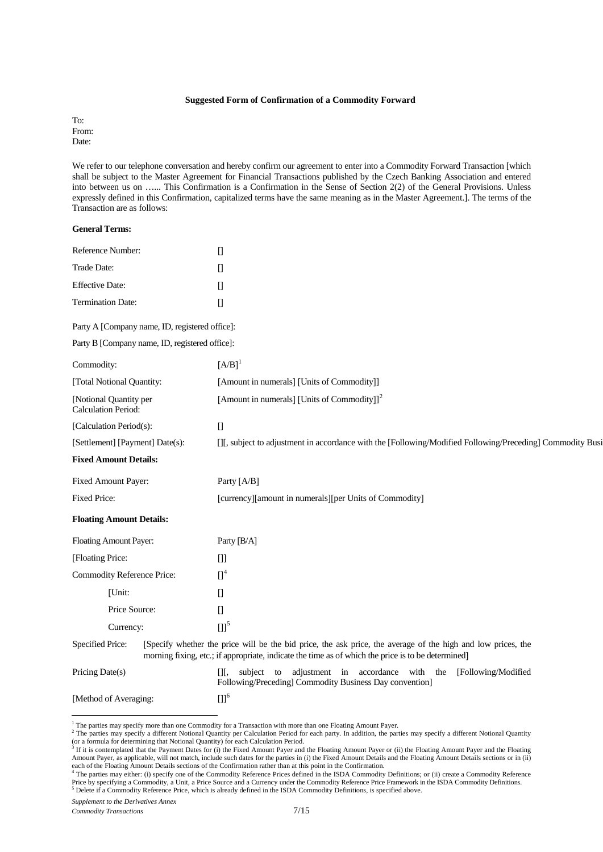#### **Suggested Form of Confirmation of a Commodity Forward**

To: From: Date:

We refer to our telephone conversation and hereby confirm our agreement to enter into a Commodity Forward Transaction [which shall be subject to the Master Agreement for Financial Transactions published by the Czech Banking Association and entered into between us on …... This Confirmation is a Confirmation in the Sense of Section 2(2) of the General Provisions. Unless expressly defined in this Confirmation, capitalized terms have the same meaning as in the Master Agreement.]. The terms of the Transaction are as follows:

#### **General Terms:**

| Reference Number:        |  |
|--------------------------|--|
| Trade Date:              |  |
| Effective Date:          |  |
| <b>Termination Date:</b> |  |

Party A [Company name, ID, registered office]:

Party B [Company name, ID, registered office]:

| Commodity:                                           | $[A/B]$ <sup>1</sup>                                                                                                                                                                                               |
|------------------------------------------------------|--------------------------------------------------------------------------------------------------------------------------------------------------------------------------------------------------------------------|
| [Total Notional Quantity:                            | [Amount in numerals] [Units of Commodity]]                                                                                                                                                                         |
| [Notional Quantity per<br><b>Calculation Period:</b> | [Amount in numerals] [Units of Commodity]] <sup>2</sup>                                                                                                                                                            |
| [Calculation Period(s):                              | $\begin{bmatrix} 1 \end{bmatrix}$                                                                                                                                                                                  |
| [Settlement] [Payment] Date(s):                      | [I], subject to adjustment in accordance with the [Following/Modified Following/Preceding] Commodity Busi                                                                                                          |
| <b>Fixed Amount Details:</b>                         |                                                                                                                                                                                                                    |
| Fixed Amount Payer:                                  | Party [A/B]                                                                                                                                                                                                        |
| <b>Fixed Price:</b>                                  | [currency][amount in numerals][per Units of Commodity]                                                                                                                                                             |
| <b>Floating Amount Details:</b>                      |                                                                                                                                                                                                                    |
| <b>Floating Amount Payer:</b>                        | Party [B/A]                                                                                                                                                                                                        |
| [Floating Price:                                     | $[]$                                                                                                                                                                                                               |
| Commodity Reference Price:                           | $\prod^4$                                                                                                                                                                                                          |
| [Unit:                                               | $[] \centering \includegraphics[width=0.47\textwidth]{images/TrDiM-Architecture.png} \caption{The 3D (top) and 4D (bottom) are shown in the left and right.} \label{TrDiM-Architecture}$                           |
| Price Source:                                        | $\begin{bmatrix} 1 \end{bmatrix}$                                                                                                                                                                                  |
| Currency:                                            | $[1]^{5}$                                                                                                                                                                                                          |
| Specified Price:                                     | [Specify whether the price will be the bid price, the ask price, the average of the high and low prices, the<br>morning fixing, etc.; if appropriate, indicate the time as of which the price is to be determined] |
| Pricing Date(s)                                      | adjustment in accordance with the<br>[]<br>subject<br>[Following/Modified]<br>to<br>Following/Preceding] Commodity Business Day convention]                                                                        |
| [Method of Averaging:                                | $[3]$ <sup>6</sup>                                                                                                                                                                                                 |

<span id="page-6-4"></span><sup>&</sup>lt;sup>1</sup> The parties may specify more than one Commodity for a Transaction with more than one Floating Amount Payer.

<span id="page-6-1"></span><span id="page-6-0"></span><sup>&</sup>lt;sup>2</sup> The parties may specify a different Notional Quantity per Calculation Period for each party. In addition, the parties may specify a different Notional Quantity or a formula for determining that Notional Quantity) for each Calculation Period.<br><sup>3</sup> If it is contemplated that the Payment Dates for (i) the Fixed Amount Payer and the Floating Amount Payer or (ii) the Floating Amount Pa

Amount Payer, as applicable, will not match, include such dates for the parties in (i) the Fixed Amount Details and the Floating Amount Details sections or in (ii) each of the Floating Amount Details sections of the Confirmation rather than at this point in the Confirmation.<br><sup>4</sup> The parties may either: (i) specify one of the Commodity Reference Prices defined in the ISDA Commodity De

<span id="page-6-3"></span><span id="page-6-2"></span>Price by specifying a Commodity, a Unit, a Price Source and a Currency under the Commodity Reference Price Framework in the ISDA Commodity Definitions.<br><sup>5</sup> Delete if a Commodity Reference Price, which is already defined in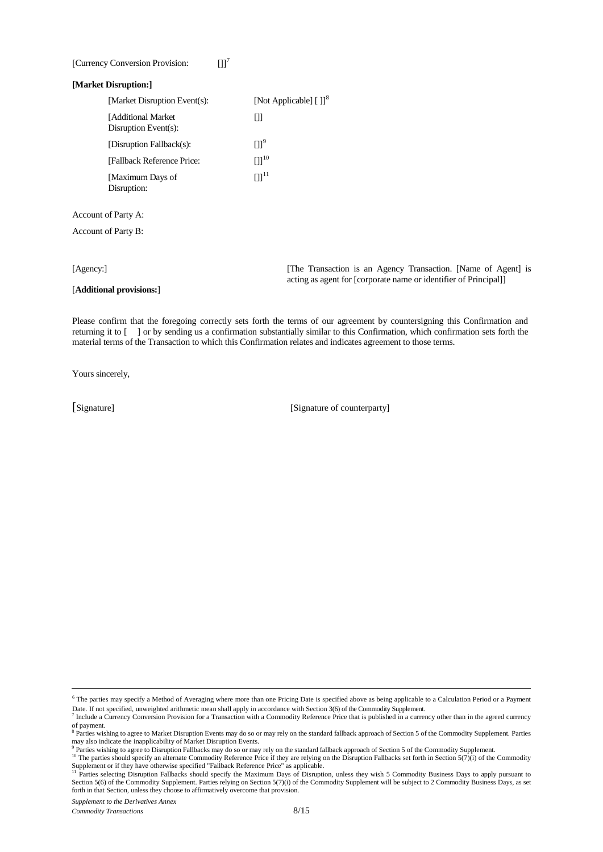#### [Currency Conversion Provision:  $[1]$ <sup>[7](#page-7-0)</sup>

#### **[Market Disruption:]**

| [Market Disruption Event(s):                | [Not Applicable] $[ ]]$ <sup>8</sup> |
|---------------------------------------------|--------------------------------------|
| [Additional Market]<br>Disruption Event(s): | Ш                                    |
| [Disruption Fallback(s):                    | $[1]$ <sup>9</sup>                   |
| [Fallback Reference Price:                  | $[1]^{10}$                           |
| [Maximum Days of<br>Disruption:             | $[1]^{11}$                           |
|                                             |                                      |

Account of Party A:

Account of Party B:

[**Additional provisions:**]

[Agency:] [The Transaction is an Agency Transaction. [Name of Agent] is acting as agent for [corporate name or identifier of Principal]]

Please confirm that the foregoing correctly sets forth the terms of our agreement by countersigning this Confirmation and returning it to [ ] or by sending us a confirmation substantially similar to this Confirmation, which confirmation sets forth the material terms of the Transaction to which this Confirmation relates and indicates agreement to those terms.

Yours sincerely,

[Signature] [Signature of counterparty]

<sup>6</sup> The parties may specify a Method of Averaging where more than one Pricing Date is specified above as being applicable to a Calculation Period or a Payment Date. If not specified, unweighted arithmetic mean shall apply in accordance with Section 3(6) of the Commodity Supplement.

<span id="page-7-0"></span><sup>7</sup> Include a Currency Conversion Provision for a Transaction with a Commodity Reference Price that is published in a currency other than in the agreed currency of payment.

<span id="page-7-2"></span>

<span id="page-7-1"></span><sup>&</sup>lt;sup>8</sup> Parties wishing to agree to Market Disruption Events may do so or may rely on the standard fallback approach of Section 5 of the Commodity Supplement. Parties may also indicate the inapplicability of Market Disruption Events.<br><sup>9</sup> Parties wishing to agree to Disruption Fallbacks may do so or may rely on the standard fallback approach of Section 5 of the Commodity Supplement.<br><sup>9</sup>

<span id="page-7-3"></span>Supplement or if they have otherwise specified "Fallback Reference Price" as applicable.<br><sup>11</sup> Parties selecting Disruption Fallbacks should specify the Maximum Days of Disruption, unless they wish 5 Commodity Business Days

<span id="page-7-4"></span>Section 5(6) of the Commodity Supplement. Parties relying on Section 5(7)(i) of the Commodity Supplement will be subject to 2 Commodity Business Days, as set forth in that Section, unless they choose to affirmatively overcome that provision.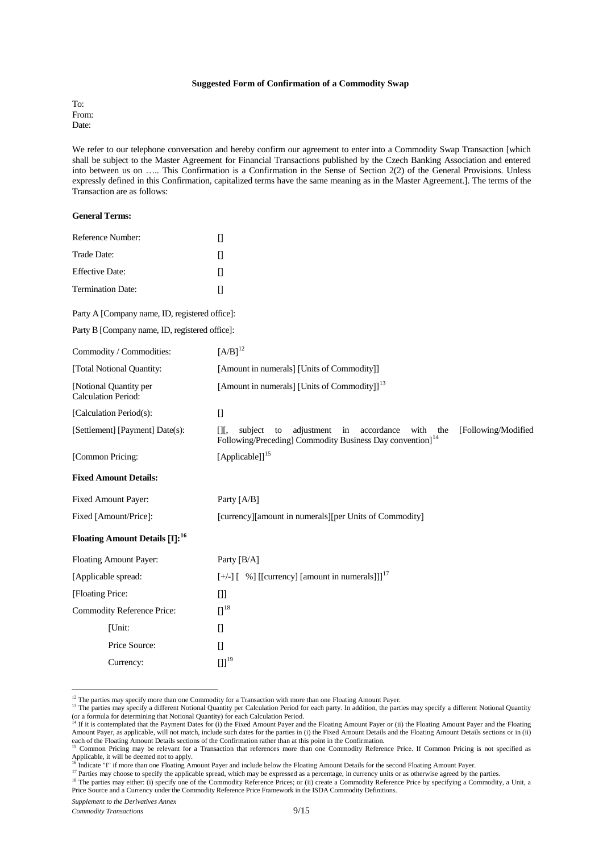#### **Suggested Form of Confirmation of a Commodity Swap**

To: From: Date:

We refer to our telephone conversation and hereby confirm our agreement to enter into a Commodity Swap Transaction [which shall be subject to the Master Agreement for Financial Transactions published by the Czech Banking Association and entered into between us on ….. This Confirmation is a Confirmation in the Sense of Section 2(2) of the General Provisions. Unless expressly defined in this Confirmation, capitalized terms have the same meaning as in the Master Agreement.]. The terms of the Transaction are as follows:

| <b>General Terms:</b>                                |                                                                                                                                                                                          |
|------------------------------------------------------|------------------------------------------------------------------------------------------------------------------------------------------------------------------------------------------|
| Reference Number:                                    | $[$                                                                                                                                                                                      |
| Trade Date:                                          | $[$                                                                                                                                                                                      |
| <b>Effective Date:</b>                               | $[$                                                                                                                                                                                      |
| Termination Date:                                    | $[$                                                                                                                                                                                      |
| Party A [Company name, ID, registered office]:       |                                                                                                                                                                                          |
| Party B [Company name, ID, registered office]:       |                                                                                                                                                                                          |
| Commodity / Commodities:                             | $[{\rm A/B}]^{12}$                                                                                                                                                                       |
| [Total Notional Quantity:                            | [Amount in numerals] [Units of Commodity]]                                                                                                                                               |
| [Notional Quantity per<br><b>Calculation Period:</b> | [Amount in numerals] [Units of Commodity]] <sup>13</sup>                                                                                                                                 |
| [Calculation Period(s):                              | $\begin{bmatrix} 1 \end{bmatrix}$                                                                                                                                                        |
| [Settlement] [Payment] Date(s):                      | [Following/Modified<br>$[$ [ $,$<br>adjustment<br>in<br>accordance<br>with<br>subject<br>to<br>the<br>Following/Preceding] Commodity Business Day convention] <sup>14</sup>              |
| [Common Pricing:                                     | [Applicable]] <sup>15</sup>                                                                                                                                                              |
| <b>Fixed Amount Details:</b>                         |                                                                                                                                                                                          |
| Fixed Amount Payer:                                  | Party [A/B]                                                                                                                                                                              |
| Fixed [Amount/Price]:                                | [currency][amount in numerals][per Units of Commodity]                                                                                                                                   |
| <b>Floating Amount Details [I]:</b> <sup>16</sup>    |                                                                                                                                                                                          |
| Floating Amount Payer:                               | Party [B/A]                                                                                                                                                                              |
| [Applicable spread:                                  | $[+/$ ] $[$ %] [[currency] [amount in numerals]]] <sup>17</sup>                                                                                                                          |
| [Floating Price:                                     | $[]$                                                                                                                                                                                     |
| Commodity Reference Price:                           | $\left[ \right]^{18}$                                                                                                                                                                    |
| [Unit:                                               | $[] \centering \includegraphics[width=0.47\textwidth]{images/TrDiM-Architecture.png} \caption{The 3D (top) and 4D (bottom) are shown in the left and right.} \label{TrDiM-Architecture}$ |
| Price Source:                                        | $[] \centering \includegraphics[width=0.47\textwidth]{images/TrDiM-Architecture.png} \caption{The 3D (top) and 4D (bottom) are shown in the left and right.} \label{TrDiM-Architecture}$ |
| Currency:                                            | $[ ] ]^{19}$                                                                                                                                                                             |

<span id="page-8-7"></span><span id="page-8-1"></span><span id="page-8-0"></span><sup>&</sup>lt;sup>12</sup> The parties may specify more than one Commodity for a Transaction with more than one Floating Amount Payer.

<sup>&</sup>lt;sup>13</sup> The parties may specify a different Notional Quantity per Calculation Period for each party. In addition, the parties may specify a different Notional Quantity (or a formula for determining that Notional Quantity) for each Calculation Period.<br><sup>14</sup> If it is contemplated that the Payment Dates for (i) the Fixed Amount Payer and the Floating Amount Payer and the Floating Amount Paye

<span id="page-8-2"></span>Amount Payer, as applicable, will not match, include such dates for the parties in (i) the Fixed Amount Details and the Floating Amount Details sections or in (ii) each of the Floating Amount Details sections of the Confirmation rather than at this point in the Confirmation.<br><sup>15</sup> Common Pricing may be relevant for a Transaction that references more than one Commodity Reference Price.

<span id="page-8-3"></span>Applicable, it will be deemed not to apply.<br><sup>16</sup> Indicate "I" if more than one Floating Amount Payer and include below the Floating Amount Details for the second Floating Amount Payer.

<span id="page-8-4"></span>

<sup>&</sup>lt;sup>17</sup> Parties may choose to specify the applicable spread, which may be expressed as a percentage, in currency units or as otherwise agreed by the parties.

<span id="page-8-6"></span><span id="page-8-5"></span><sup>&</sup>lt;sup>18</sup> The parties may either: (i) specify one of the Commodity Reference Prices; or (ii) create a Commodity Reference Price by specifying a Commodity, a Unit, a Price Source and a Currency under the Commodity Reference Price Framework in the ISDA Commodity Definitions.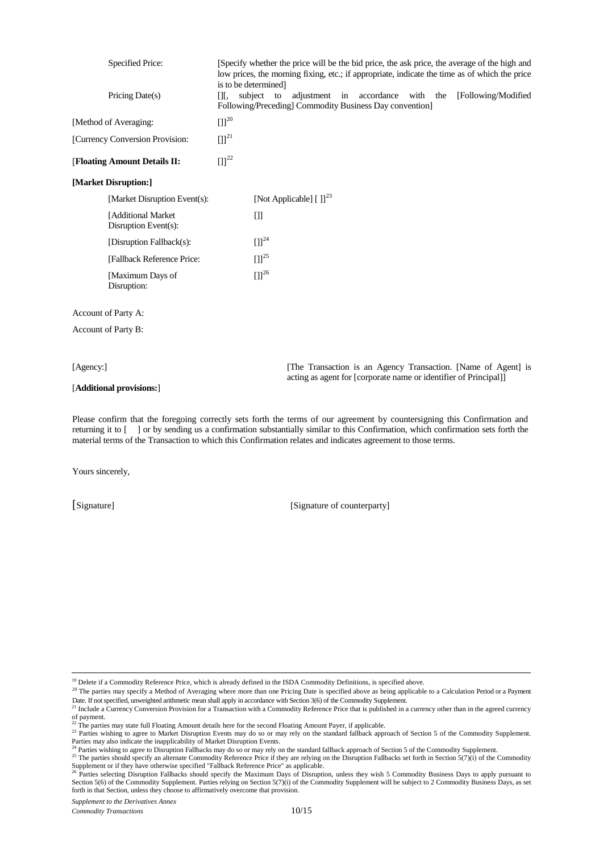| <b>Specified Price:</b>                    | [Specify whether the price will be the bid price, the ask price, the average of the high and<br>low prices, the morning fixing, etc.; if appropriate, indicate the time as of which the price |
|--------------------------------------------|-----------------------------------------------------------------------------------------------------------------------------------------------------------------------------------------------|
| Pricing Date(s)                            | is to be determined.<br>subject<br>[Following/Modified<br>adjustment in accordance<br>with<br>$\prod$ ,<br>to<br>the<br>Following/Preceding] Commodity Business Day convention]               |
| [Method of Averaging:                      | $[1]^{20}$                                                                                                                                                                                    |
| [Currency Conversion Provision:            | $[1]^{21}$                                                                                                                                                                                    |
| [Floating Amount Details II:               | $[1]^{22}$                                                                                                                                                                                    |
| [Market Disruption:]                       |                                                                                                                                                                                               |
| [Market Disruption Event(s):               | [Not Applicable] $[ ]]^{23}$                                                                                                                                                                  |
| [Additional Market<br>Disruption Event(s): | Œ                                                                                                                                                                                             |
| [Disruption Fallback(s):                   | $[ ] ]^{24}$                                                                                                                                                                                  |
| [Fallback Reference Price:                 | $[ ] ]^{25}$                                                                                                                                                                                  |
| [Maximum Days of<br>Disruption:            | $[1]^{26}$                                                                                                                                                                                    |
| Account of Party A:                        |                                                                                                                                                                                               |
| Account of Party B:                        |                                                                                                                                                                                               |
|                                            |                                                                                                                                                                                               |

#### [**Additional provisions:**]

[Agency:] [The Transaction is an Agency Transaction. [Name of Agent] is acting as agent for [corporate name or identifier of Principal]]

Please confirm that the foregoing correctly sets forth the terms of our agreement by countersigning this Confirmation and returning it to [ ] or by sending us a confirmation substantially similar to this Confirmation, which confirmation sets forth the material terms of the Transaction to which this Confirmation relates and indicates agreement to those terms.

Yours sincerely,

-

[Signature] [Signature of counterparty]

<sup>&</sup>lt;sup>19</sup> Delete if a Commodity Reference Price, which is already defined in the ISDA Commodity Definitions, is specified above.

<span id="page-9-0"></span><sup>&</sup>lt;sup>20</sup> The parties may specify a Method of Averaging where more than one Pricing Date is specified above as being applicable to a Calculation Period or a Payment

<span id="page-9-1"></span>Date. If not specified, unweighted arithmetic mean shall apply in accordance with Section 3(6) of the Commodity Supplement.<br><sup>21</sup> Include a Currency Conversion Provision for a Transaction with a Commodity Reference Price th of payment.<br><sup>22</sup> The parties may state full Floating Amount details here for the second Floating Amount Payer, if applicable.

<span id="page-9-3"></span><span id="page-9-2"></span><sup>&</sup>lt;sup>23</sup> Parties wishing to agree to Market Disruption Events may do so or may rely on the standard fallback approach of Section 5 of the Commodity Supplement.

<span id="page-9-4"></span>

Parties may also indicate the inapplicability of Market Disruption Events.<br><sup>24</sup> Parties wishing to agree to Disruption Fallbacks may do so or may rely on the standard fallback approach of Section 5 of the Commodity Supplem

<span id="page-9-6"></span><span id="page-9-5"></span>Supplement or if they have otherwise specified "Fallback Reference Price" as applicable.<br><sup>26</sup> Parties selecting Disruption Fallbacks should specify the Maximum Days of Disruption, unless they wish 5 Commodity Business Days Section 5(6) of the Commodity Supplement. Parties relying on Section 5(7)(i) of the Commodity Supplement will be subject to 2 Commodity Business Days, as set forth in that Section, unless they choose to affirmatively overcome that provision.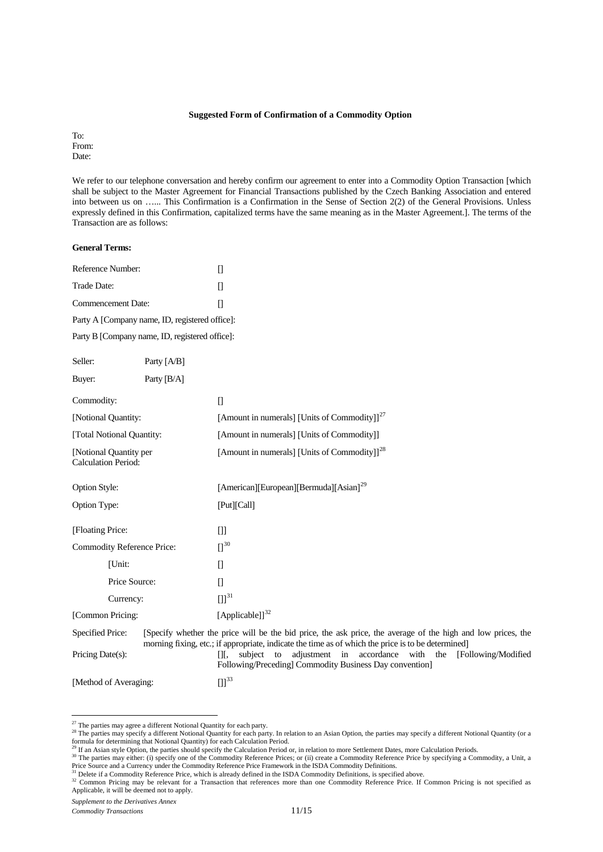#### **Suggested Form of Confirmation of a Commodity Option**

To: From: Date:

We refer to our telephone conversation and hereby confirm our agreement to enter into a Commodity Option Transaction [which shall be subject to the Master Agreement for Financial Transactions published by the Czech Banking Association and entered into between us on …... This Confirmation is a Confirmation in the Sense of Section 2(2) of the General Provisions. Unless expressly defined in this Confirmation, capitalized terms have the same meaning as in the Master Agreement.]. The terms of the Transaction are as follows:

#### **General Terms:**

| Reference Number:                              | $\mathsf{L}$ |
|------------------------------------------------|--------------|
| Trade Date:                                    | Ш            |
| Commencement Date:                             | Ш            |
| Party A [Company name, ID, registered office]: |              |

Party B [Company name, ID, registered office]:

| Seller:                                              | Party [A/B]   |                                                                                                                                                                                                                    |
|------------------------------------------------------|---------------|--------------------------------------------------------------------------------------------------------------------------------------------------------------------------------------------------------------------|
| Buyer:                                               | Party $[B/A]$ |                                                                                                                                                                                                                    |
| Commodity:                                           |               | $[$                                                                                                                                                                                                                |
| [Notional Quantity:                                  |               | [Amount in numerals] [Units of Commodity]] <sup>27</sup>                                                                                                                                                           |
| [Total Notional Quantity:                            |               | [Amount in numerals] [Units of Commodity]]                                                                                                                                                                         |
| [Notional Quantity per<br><b>Calculation Period:</b> |               | [Amount in numerals] [Units of Commodity]] <sup>28</sup>                                                                                                                                                           |
| <b>Option Style:</b>                                 |               | [American][European][Bermuda][Asian] <sup>29</sup>                                                                                                                                                                 |
| Option Type:                                         |               | [Put][Call]                                                                                                                                                                                                        |
| [Floating Price:                                     |               | $[]$                                                                                                                                                                                                               |
| Commodity Reference Price:                           |               | $\prod^{30}$                                                                                                                                                                                                       |
| [Unit:                                               |               | $[$                                                                                                                                                                                                                |
| Price Source:                                        |               | $[$                                                                                                                                                                                                                |
| Currency:                                            |               | $\left[\right] \right]^{31}$                                                                                                                                                                                       |
| [Common Pricing:                                     |               | [Applicable]] $^{32}$                                                                                                                                                                                              |
| <b>Specified Price:</b>                              |               | [Specify whether the price will be the bid price, the ask price, the average of the high and low prices, the<br>morning fixing, etc.; if appropriate, indicate the time as of which the price is to be determined] |
| Pricing Date(s):                                     |               | to adjustment in accordance with the<br>[Following/Modified<br>subject<br>ΠГ,<br>Following/Preceding] Commodity Business Day convention]                                                                           |
| [Method of Averaging:                                |               | $[ ] ]^{33}$                                                                                                                                                                                                       |

<span id="page-10-6"></span><sup>&</sup>lt;sup>27</sup> The parties may agree a different Notional Quantity for each party.

*Supplement to the Derivatives Annex*

<span id="page-10-1"></span><span id="page-10-0"></span><sup>&</sup>lt;sup>28</sup> The parties may specify a different Notional Quantity for each party. In relation to an Asian Option, the parties may specify a different Notional Quantity (or a formula for determining that Notional Quantity) for each Calculation Period.<br><sup>29</sup> If an Asian style Option, the parties should specify the Calculation Period or, in relation to more Settlement Dates, more Calculation Perio

<span id="page-10-3"></span><span id="page-10-2"></span><sup>&</sup>lt;sup>30</sup> The parties may either: (i) specify one of the Commodity Reference Prices; or (ii) create a Commodity Reference Price by specifying a Commodity, a Unit, a<br>Price Source and a Currency under the Commodity Reference Pric

<span id="page-10-5"></span><span id="page-10-4"></span>Applicable, it will be deemed not to apply.

*Commodity Transactions* 11/15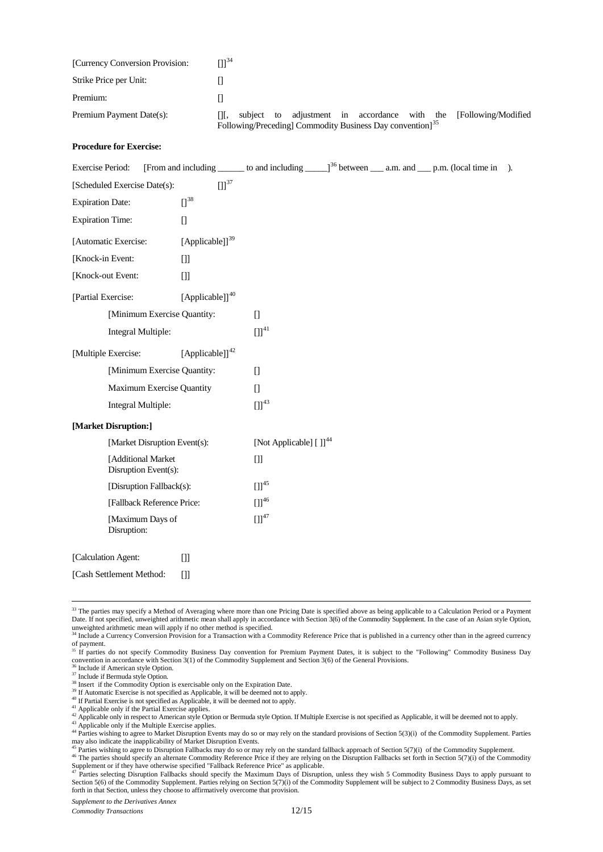|                                 | Following/Preceding] Commodity Business Day convention] <sup>35</sup> |            |  |  |                                   |  |                      |
|---------------------------------|-----------------------------------------------------------------------|------------|--|--|-----------------------------------|--|----------------------|
| Premium Payment Date(s):        | III,                                                                  | subject to |  |  | adjustment in accordance with the |  | [Following/Modified] |
| Premium:                        |                                                                       |            |  |  |                                   |  |                      |
| Strike Price per Unit:          |                                                                       |            |  |  |                                   |  |                      |
| [Currency Conversion Provision: | [11 <sup>34</sup>                                                     |            |  |  |                                   |  |                      |

#### **Procedure for Exercise:**

| <b>Exercise Period:</b>  |                                            |                              |                                    |  | [From and including _______ to and including ______] <sup>36</sup> between _____ a.m. and _____ p.m. (local time in | $\lambda$ . |
|--------------------------|--------------------------------------------|------------------------------|------------------------------------|--|---------------------------------------------------------------------------------------------------------------------|-------------|
|                          | [Scheduled Exercise Date(s):               | $\left[\right] \right]^{37}$ |                                    |  |                                                                                                                     |             |
| <b>Expiration Date:</b>  |                                            | $\prod^{38}$                 |                                    |  |                                                                                                                     |             |
| <b>Expiration Time:</b>  |                                            | $[$                          |                                    |  |                                                                                                                     |             |
| [Automatic Exercise:     |                                            | [Applicable]] <sup>39</sup>  |                                    |  |                                                                                                                     |             |
| [Knock-in Event:         |                                            | $[]$                         |                                    |  |                                                                                                                     |             |
| [Knock-out Event:        |                                            | $[]$                         |                                    |  |                                                                                                                     |             |
| [Partial Exercise:       |                                            | [Applicable]] $40$           |                                    |  |                                                                                                                     |             |
|                          | [Minimum Exercise Quantity:                |                              | $\Box$                             |  |                                                                                                                     |             |
|                          | Integral Multiple:                         |                              | $[1]^{41}$                         |  |                                                                                                                     |             |
| [Multiple Exercise:      |                                            | [Applicable] $]^{42}$        |                                    |  |                                                                                                                     |             |
|                          | [Minimum Exercise Quantity:                |                              | $\Box$                             |  |                                                                                                                     |             |
|                          | Maximum Exercise Quantity                  |                              | $\begin{bmatrix} 1 \end{bmatrix}$  |  |                                                                                                                     |             |
|                          | Integral Multiple:                         |                              | $[1]^{43}$                         |  |                                                                                                                     |             |
| [Market Disruption:]     |                                            |                              |                                    |  |                                                                                                                     |             |
|                          | [Market Disruption Event(s):               |                              | [Not Applicable] []] <sup>44</sup> |  |                                                                                                                     |             |
|                          | [Additional Market<br>Disruption Event(s): |                              | $[]$                               |  |                                                                                                                     |             |
|                          | [Disruption Fallback(s):                   |                              | $\left[\right] \right]^{45}$       |  |                                                                                                                     |             |
|                          | [Fallback Reference Price:                 |                              | $[1]^{46}$                         |  |                                                                                                                     |             |
|                          | [Maximum Days of<br>Disruption:            |                              | $[1]^{47}$                         |  |                                                                                                                     |             |
| [Calculation Agent:      |                                            | $[]$                         |                                    |  |                                                                                                                     |             |
| [Cash Settlement Method: |                                            | $[]$                         |                                    |  |                                                                                                                     |             |

<sup>&</sup>lt;sup>33</sup> The parties may specify a Method of Averaging where more than one Pricing Date is specified above as being applicable to a Calculation Period or a Payment Date. If not specified, unweighted arithmetic mean shall apply in accordance with Section 3(6) of the Commodity Supplement. In the case of an Asian style Option,

<span id="page-11-8"></span><span id="page-11-7"></span><span id="page-11-6"></span>

<span id="page-11-0"></span>unweighted arithmetic mean will apply if no other method is specified.<br><sup>34</sup> Include a Currency Conversion Provision for a Transaction with a Commodity Reference Price that is published in a currency other than in the agree of payment.<br><sup>35</sup> If parties do not specify Commodity Business Day convention for Premium Payment Dates, it is subject to the "Following" Commodity Business Day

<span id="page-11-5"></span><span id="page-11-4"></span>

<span id="page-11-3"></span><span id="page-11-2"></span><span id="page-11-1"></span><sup>&</sup>lt;sup>36</sup> Include if American style Option.<br><sup>37</sup> Include if American style Option.<br><sup>38</sup> Include if Bermuda style Option.<br><sup>38</sup> Insert if the Commodity Option is exercisable only on the Expiration Date.<br><sup>39</sup> If Automatic Exercise

<span id="page-11-10"></span><span id="page-11-9"></span><sup>&</sup>lt;sup>44</sup> Parties wishing to agree to Market Disruption Events may do so or may rely on the standard provisions of Section 5(3)(i) of the Commodity Supplement. Parties may also indicate the inapplicability of Market Disruption Events.<br><sup>45</sup> Parties wishing to agree to Disruption Fallbacks may do so or may rely on the standard fallback approach of Section 5(7)(i) of the Commodity Supplemen

<span id="page-11-12"></span><span id="page-11-11"></span><sup>&</sup>lt;sup>46</sup> The parties should specify an alternate Commodity Reference Price if they are relying on the Disruption Fallbacks set forth in Section 5(7)(i) of the Commodity

<span id="page-11-13"></span>Supplement or if they have otherwise specified "Fallback Reference Price" as applicable.<br><sup>47</sup> Parties selecting Disruption Fallbacks should specify the Maximum Days of Disruption, unless they wish 5 Commodity Business Days Section 5(6) of the Commodity Supplement. Parties relying on Section 5(7)(i) of the Commodity Supplement will be subject to 2 Commodity Business Days, as set forth in that Section, unless they choose to affirmatively overcome that provision.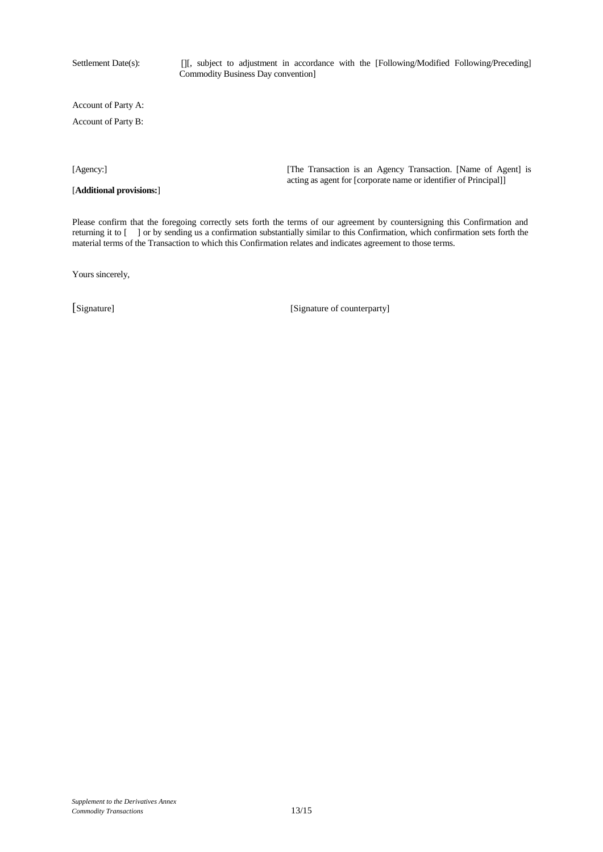Settlement Date(s): [J[, subject to adjustment in accordance with the [Following/Modified Following/Preceding] Commodity Business Day convention]

Account of Party A:

Account of Party B:

[**Additional provisions:**]

[Agency:] [The Transaction is an Agency Transaction. [Name of Agent] is acting as agent for [corporate name or identifier of Principal]]

Please confirm that the foregoing correctly sets forth the terms of our agreement by countersigning this Confirmation and returning it to [ ] or by sending us a confirmation substantially similar to this Confirmation, which confirmation sets forth the material terms of the Transaction to which this Confirmation relates and indicates agreement to those terms.

Yours sincerely,

[Signature] [Signature of counterparty]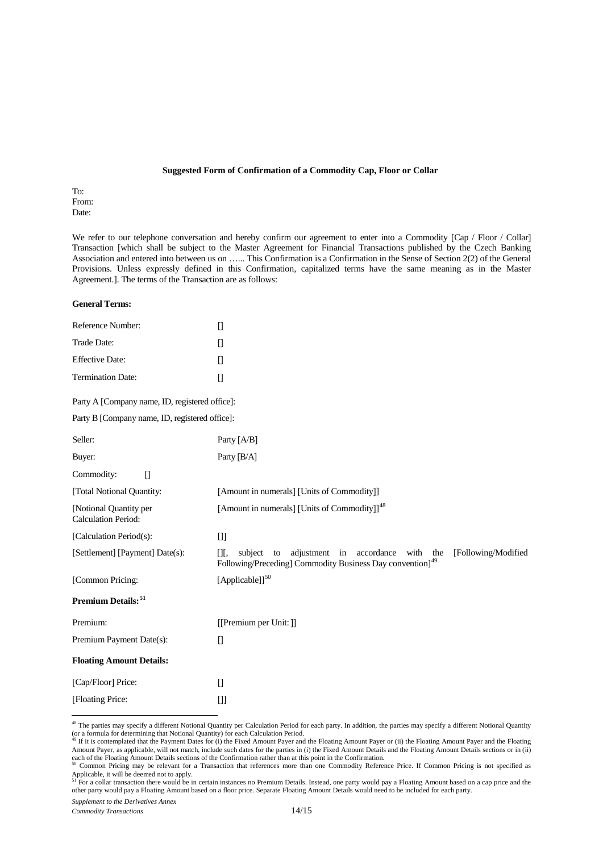#### **Suggested Form of Confirmation of a Commodity Cap, Floor or Collar**

To: From: Date:

We refer to our telephone conversation and hereby confirm our agreement to enter into a Commodity [Cap / Floor / Collar] Transaction [which shall be subject to the Master Agreement for Financial Transactions published by the Czech Banking Association and entered into between us on …... This Confirmation is a Confirmation in the Sense of Section 2(2) of the General Provisions. Unless expressly defined in this Confirmation, capitalized terms have the same meaning as in the Master Agreement.]. The terms of the Transaction are as follows:

#### **General Terms:**

| Reference Number:                                    | $[] \centering \includegraphics[width=0.47\textwidth]{images/TrDiM-Architecture.png} \caption{The 3D (top) and 4D (bottom) are shown in the left and right.} \label{TrDiM-Architecture}$                                                                                                                                                                                                                                                                                                                                                                                                                                                                                                                                                                                                                         |
|------------------------------------------------------|------------------------------------------------------------------------------------------------------------------------------------------------------------------------------------------------------------------------------------------------------------------------------------------------------------------------------------------------------------------------------------------------------------------------------------------------------------------------------------------------------------------------------------------------------------------------------------------------------------------------------------------------------------------------------------------------------------------------------------------------------------------------------------------------------------------|
| Trade Date:                                          | $[] \centering \includegraphics[width=0.47\textwidth]{images/TrDiM1.png} \caption{The 3D (black) model for a different region of the left and right. The 3D (black) model is shown in Fig.~\ref{fig:1}, (a) and (b) and (c) are shown in Fig.~\ref{fig:1}, (b) and (c) are shown in Fig.~\ref{fig:1}, (c) and (d) are shown in Fig.~\ref{fig:1}, (d) and (e) are shown in Fig.~\ref{fig:1}, (e) and (f) are shown in Fig.~\ref{fig:1}, (f) and (g) are shown in Fig.~\ref{fig:1}, (g) and (h) are shown in Fig.~\ref{fig:1}, (h) and (i) are$                                                                                                                                                                                                                                                                    |
| <b>Effective Date:</b>                               | $[] \centering \includegraphics[width=0.47\textwidth]{images/TrDiM1.png} \caption{The first two different values of $D \sim 10^{-4} $eV$ (in the right) and the second two different values of $D$ (in the right) and the third two different values of $D$ (in the right) and the third two different values of $D$ (in the right) and the third two different values of $D$ (in the right) and the third two different values of $D$ (in the right) and the third two different values of $D$ (in the right) and the third two different values of $D$ (in the right) and the third two different values of $D$ (in the right) and the third two different values of $D$ (in the right) and the third two different values of $D$ (in the right) and the third two different values of $D$ (in the right) and$ |
| Termination Date:                                    | $[] \centering \includegraphics[width=0.47\textwidth]{images/TrDiM1.png} \caption{The first two different values of $D^2$-error of the estimators in the right, and the second two different values of $D^2$-error of the right, respectively.} \label{TrDiM1}$                                                                                                                                                                                                                                                                                                                                                                                                                                                                                                                                                  |
| Party A [Company name, ID, registered office]:       |                                                                                                                                                                                                                                                                                                                                                                                                                                                                                                                                                                                                                                                                                                                                                                                                                  |
| Party B [Company name, ID, registered office]:       |                                                                                                                                                                                                                                                                                                                                                                                                                                                                                                                                                                                                                                                                                                                                                                                                                  |
| Seller:                                              | Party [A/B]                                                                                                                                                                                                                                                                                                                                                                                                                                                                                                                                                                                                                                                                                                                                                                                                      |
| Buyer:                                               | Party [B/A]                                                                                                                                                                                                                                                                                                                                                                                                                                                                                                                                                                                                                                                                                                                                                                                                      |
| Commodity:<br>$[$                                    |                                                                                                                                                                                                                                                                                                                                                                                                                                                                                                                                                                                                                                                                                                                                                                                                                  |
| [Total Notional Quantity:                            | [Amount in numerals] [Units of Commodity]]                                                                                                                                                                                                                                                                                                                                                                                                                                                                                                                                                                                                                                                                                                                                                                       |
| [Notional Quantity per<br><b>Calculation Period:</b> | [Amount in numerals] [Units of Commodity]] <sup>48</sup>                                                                                                                                                                                                                                                                                                                                                                                                                                                                                                                                                                                                                                                                                                                                                         |
| [Calculation Period(s):                              | $[]$                                                                                                                                                                                                                                                                                                                                                                                                                                                                                                                                                                                                                                                                                                                                                                                                             |
| [Settlement] [Payment] Date(s):                      | [Following/Modified<br>adjustment in<br>accordance<br>with<br>$[$ [ $\overline{)}$ $[$<br>subject<br>the<br>to<br>Following/Preceding] Commodity Business Day convention] <sup>49</sup>                                                                                                                                                                                                                                                                                                                                                                                                                                                                                                                                                                                                                          |
| [Common Pricing:                                     | [Applicable]] <sup>50</sup>                                                                                                                                                                                                                                                                                                                                                                                                                                                                                                                                                                                                                                                                                                                                                                                      |
| Premium Details: <sup>51</sup>                       |                                                                                                                                                                                                                                                                                                                                                                                                                                                                                                                                                                                                                                                                                                                                                                                                                  |
| Premium:                                             | [[Premium per Unit:]]                                                                                                                                                                                                                                                                                                                                                                                                                                                                                                                                                                                                                                                                                                                                                                                            |
| Premium Payment Date(s):                             | $\begin{bmatrix} 1 \end{bmatrix}$                                                                                                                                                                                                                                                                                                                                                                                                                                                                                                                                                                                                                                                                                                                                                                                |
| <b>Floating Amount Details:</b>                      |                                                                                                                                                                                                                                                                                                                                                                                                                                                                                                                                                                                                                                                                                                                                                                                                                  |
| [Cap/Floor] Price:                                   | $[] \centering \includegraphics[width=0.47\textwidth]{images/Transr1.png} \caption{The 3D (black) model for the 3D (black) model. The 3D (black) model is shown in the left panel.} \label{fig:class}$                                                                                                                                                                                                                                                                                                                                                                                                                                                                                                                                                                                                           |
| [Floating Price:                                     | $[]$                                                                                                                                                                                                                                                                                                                                                                                                                                                                                                                                                                                                                                                                                                                                                                                                             |

<span id="page-13-0"></span><sup>&</sup>lt;sup>48</sup> The parties may specify a different Notional Quantity per Calculation Period for each party. In addition, the parties may specify a different Notional Quantity (or a formula for determining that Notional Quantity) for each Calculation Period.<br><sup>49</sup> If it is contemplated that the Payment Dates for (i) the Fixed Amount Payer and the Floating Amount Payer and the Floating Amount Paye

*Supplement to the Derivatives Annex*

<span id="page-13-1"></span>Amount Payer, as applicable, will not match, include such dates for the parties in (i) the Fixed Amount Details and the Floating Amount Details sections or in (ii) each of the Floating Amount Details sections of the Confirmation rather than at this point in the Confirmation.<br><sup>50</sup> Common Pricing may be relevant for a Transaction that references more than one Commodity Reference Price.

<span id="page-13-2"></span>Applicable, it will be deemed not to apply.<br><sup>51</sup> For a collar transaction there would be in certain instances no Premium Details. Instead, one party would pay a Floating Amount based on a cap price and the

<span id="page-13-3"></span>other party would pay a Floating Amount based on a floor price. Separate Floating Amount Details would need to be included for each party.